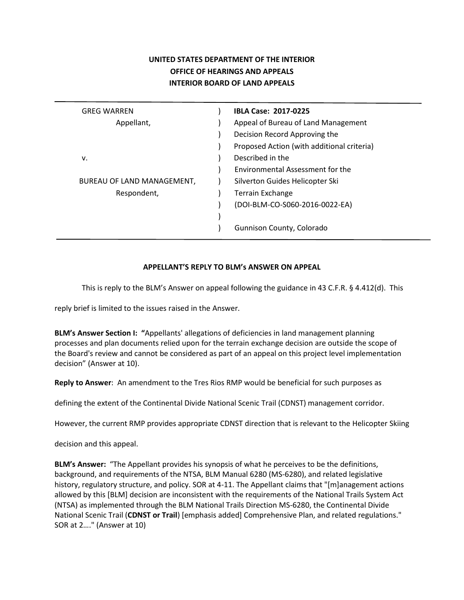## **UNITED STATES DEPARTMENT OF THE INTERIOR OFFICE OF HEARINGS AND APPEALS INTERIOR BOARD OF LAND APPEALS**

| <b>GREG WARREN</b>         | <b>IBLA Case: 2017-0225</b>                |
|----------------------------|--------------------------------------------|
| Appellant,                 | Appeal of Bureau of Land Management        |
|                            | Decision Record Approving the              |
|                            | Proposed Action (with additional criteria) |
| v.                         | Described in the                           |
|                            | Environmental Assessment for the           |
| BUREAU OF LAND MANAGEMENT, | Silverton Guides Helicopter Ski            |
| Respondent,                | <b>Terrain Exchange</b>                    |
|                            | (DOI-BLM-CO-S060-2016-0022-EA)             |
|                            |                                            |
|                            | Gunnison County, Colorado                  |
|                            |                                            |

## **APPELLANT'S REPLY TO BLM's ANSWER ON APPEAL**

This is reply to the BLM's Answer on appeal following the guidance in 43 C.F.R. § 4.412(d). This

reply brief is limited to the issues raised in the Answer.

**BLM's Answer Section I: "**Appellants' allegations of deficiencies in land management planning processes and plan documents relied upon for the terrain exchange decision are outside the scope of the Board's review and cannot be considered as part of an appeal on this project level implementation decision" (Answer at 10).

**Reply to Answer**: An amendment to the Tres Rios RMP would be beneficial for such purposes as

defining the extent of the Continental Divide National Scenic Trail (CDNST) management corridor.

However, the current RMP provides appropriate CDNST direction that is relevant to the Helicopter Skiing

decision and this appeal.

**BLM's Answer:** "The Appellant provides his synopsis of what he perceives to be the definitions, background, and requirements of the NTSA, BLM Manual 6280 (MS-6280), and related legislative history, regulatory structure, and policy. SOR at 4-11. The Appellant claims that "[m]anagement actions allowed by this [BLM] decision are inconsistent with the requirements of the National Trails System Act (NTSA) as implemented through the BLM National Trails Direction MS-6280, the Continental Divide National Scenic Trail (**CDNST or Trail**) [emphasis added] Comprehensive Plan, and related regulations." SOR at 2…." (Answer at 10)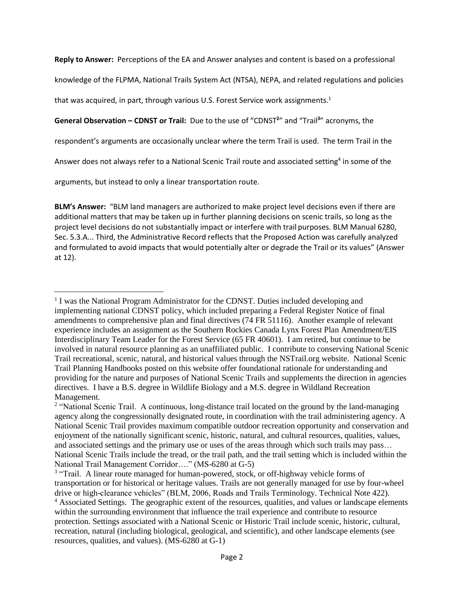**Reply to Answer:** Perceptions of the EA and Answer analyses and content is based on a professional

knowledge of the FLPMA, National Trails System Act (NTSA), NEPA, and related regulations and policies

<span id="page-1-3"></span>that was acquired, in part, through various U.S. Forest Service work assignments.<sup>1</sup>

<span id="page-1-2"></span><span id="page-1-1"></span>**General Observation – CDNST or Trail:** Due to the use of "CDNST**<sup>2</sup>** " and "Trail**<sup>3</sup>** " acronyms, the

respondent's arguments are occasionally unclear where the term Trail is used. The term Trail in the

<span id="page-1-0"></span>Answer does not always refer to a National Scenic Trail route and associated setting<sup>4</sup> in some of the

arguments, but instead to only a linear transportation route.

 $\overline{a}$ 

**BLM's Answer:** "BLM land managers are authorized to make project level decisions even if there are additional matters that may be taken up in further planning decisions on scenic trails, so long as the project level decisions do not substantially impact or interfere with trail purposes. BLM Manual 6280, Sec. 5.3.A... Third, the Administrative Record reflects that the Proposed Action was carefully analyzed and formulated to avoid impacts that would potentially alter or degrade the Trail or its values" (Answer at 12).

<sup>&</sup>lt;sup>1</sup> I was the National Program Administrator for the CDNST. Duties included developing and implementing national CDNST policy, which included preparing a Federal Register Notice of final amendments to comprehensive plan and final directives (74 FR 51116). Another example of relevant experience includes an assignment as the Southern Rockies Canada Lynx Forest Plan Amendment/EIS Interdisciplinary Team Leader for the Forest Service (65 FR 40601). I am retired, but continue to be involved in natural resource planning as an unaffiliated public. I contribute to conserving National Scenic Trail recreational, scenic, natural, and historical values through the NSTrail.org website. National Scenic Trail Planning Handbooks posted on this website offer foundational rationale for understanding and providing for the nature and purposes of National Scenic Trails and supplements the direction in agencies directives. I have a B.S. degree in Wildlife Biology and a M.S. degree in Wildland Recreation Management.

<sup>&</sup>lt;sup>2</sup> "National Scenic Trail. A continuous, long-distance trail located on the ground by the land-managing agency along the congressionally designated route, in coordination with the trail administering agency. A National Scenic Trail provides maximum compatible outdoor recreation opportunity and conservation and enjoyment of the nationally significant scenic, historic, natural, and cultural resources, qualities, values, and associated settings and the primary use or uses of the areas through which such trails may pass… National Scenic Trails include the tread, or the trail path, and the trail setting which is included within the National Trail Management Corridor…." (MS-6280 at G-5)

<sup>&</sup>lt;sup>3</sup> "Trail. A linear route managed for human-powered, stock, or off-highway vehicle forms of transportation or for historical or heritage values. Trails are not generally managed for use by four-wheel drive or high-clearance vehicles" (BLM, 2006, Roads and Trails Terminology. Technical Note 422). <sup>4</sup> Associated Settings. The geographic extent of the resources, qualities, and values or landscape elements within the surrounding environment that influence the trail experience and contribute to resource protection. Settings associated with a National Scenic or Historic Trail include scenic, historic, cultural, recreation, natural (including biological, geological, and scientific), and other landscape elements (see resources, qualities, and values). (MS-6280 at G-1)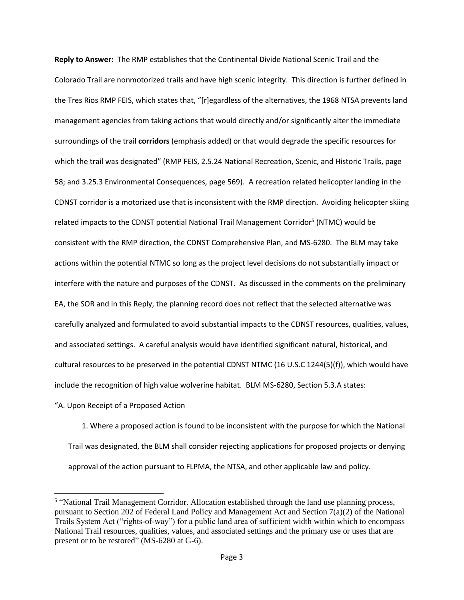**Reply to Answer:** The RMP establishes that the Continental Divide National Scenic Trail and the Colorado Trail are nonmotorized trails and have high scenic integrity. This direction is further defined in the Tres Rios RMP FEIS, which states that, "[r]egardless of the alternatives, the 1968 NTSA prevents land management agencies from taking actions that would directly and/or significantly alter the immediate surroundings of the trail **corridors** (emphasis added) or that would degrade the specific resources for which the trail was designated" (RMP FEIS, 2.5.24 National Recreation, Scenic, and Historic Trails, page 58; and 3.25.3 Environmental Consequences, page 569). A recreation related helicopter landing in the CDNST corridor is a motorized use that is inconsistent with the RMP direction. Avoiding helicopter skiing related impacts to the CDNST potential National Trail Management Corridor<sup>5</sup> (NTMC) would be consistent with the RMP direction, the CDNST Comprehensive Plan, and MS-6280. The BLM may take actions within the potential NTMC so long as the project level decisions do not substantially impact or interfere with the nature and purposes of the CDNST. As discussed in the comments on the preliminary EA, the SOR and in this Reply, the planning record does not reflect that the selected alternative was carefully analyzed and formulated to avoid substantial impacts to the CDNST resources, qualities, values, and associated settings. A careful analysis would have identified significant natural, historical, and cultural resources to be preserved in the potential CDNST NTMC (16 U.S.C 1244(5)(f)), which would have include the recognition of high value wolverine habitat. BLM MS-6280, Section 5.3.A states:

"A. Upon Receipt of a Proposed Action

 $\overline{a}$ 

1. Where a proposed action is found to be inconsistent with the purpose for which the National Trail was designated, the BLM shall consider rejecting applications for proposed projects or denying approval of the action pursuant to FLPMA, the NTSA, and other applicable law and policy.

<sup>&</sup>lt;sup>5</sup> "National Trail Management Corridor. Allocation established through the land use planning process, pursuant to Section 202 of Federal Land Policy and Management Act and Section 7(a)(2) of the National Trails System Act ("rights-of-way") for a public land area of sufficient width within which to encompass National Trail resources, qualities, values, and associated settings and the primary use or uses that are present or to be restored" (MS-6280 at G-6).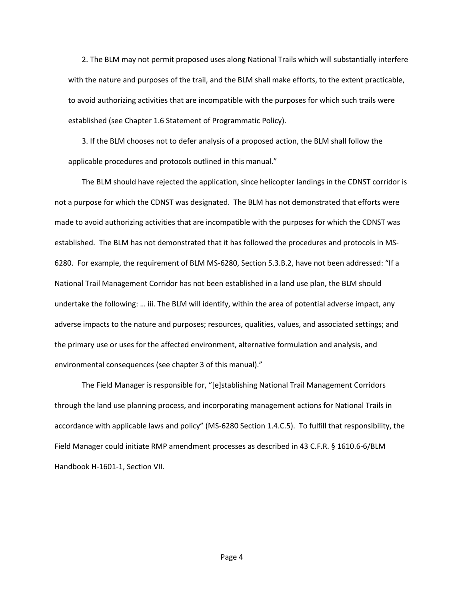2. The BLM may not permit proposed uses along National Trails which will substantially interfere with the nature and purposes of the trail, and the BLM shall make efforts, to the extent practicable, to avoid authorizing activities that are incompatible with the purposes for which such trails were established (see Chapter 1.6 Statement of Programmatic Policy).

3. If the BLM chooses not to defer analysis of a proposed action, the BLM shall follow the applicable procedures and protocols outlined in this manual."

The BLM should have rejected the application, since helicopter landings in the CDNST corridor is not a purpose for which the CDNST was designated. The BLM has not demonstrated that efforts were made to avoid authorizing activities that are incompatible with the purposes for which the CDNST was established. The BLM has not demonstrated that it has followed the procedures and protocols in MS-6280. For example, the requirement of BLM MS-6280, Section 5.3.B.2, have not been addressed: "If a National Trail Management Corridor has not been established in a land use plan, the BLM should undertake the following: … iii. The BLM will identify, within the area of potential adverse impact, any adverse impacts to the nature and purposes; resources, qualities, values, and associated settings; and the primary use or uses for the affected environment, alternative formulation and analysis, and environmental consequences (see chapter 3 of this manual)."

The Field Manager is responsible for, "[e]stablishing National Trail Management Corridors through the land use planning process, and incorporating management actions for National Trails in accordance with applicable laws and policy" (MS-6280 Section 1.4.C.5). To fulfill that responsibility, the Field Manager could initiate RMP amendment processes as described in 43 C.F.R. § 1610.6-6/BLM Handbook H-1601-1, Section VII.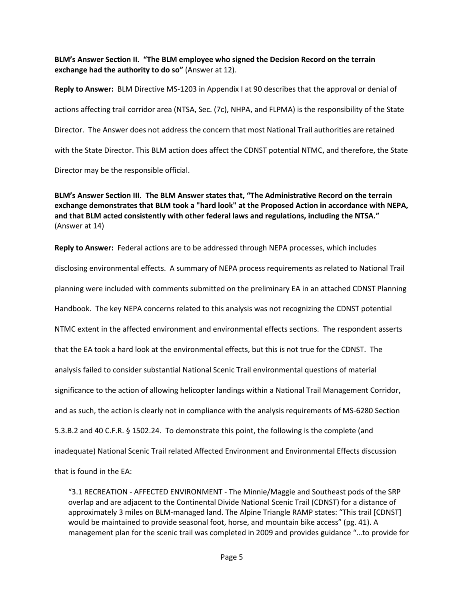## **BLM's Answer Section II. "The BLM employee who signed the Decision Record on the terrain exchange had the authority to do so"** (Answer at 12).

**Reply to Answer:** BLM Directive MS-1203 in Appendix I at 90 describes that the approval or denial of actions affecting trail corridor area (NTSA, Sec. (7c), NHPA, and FLPMA) is the responsibility of the State Director. The Answer does not address the concern that most National Trail authorities are retained with the State Director. This BLM action does affect the CDNST potential NTMC, and therefore, the State Director may be the responsible official.

**BLM's Answer Section III. The BLM Answer states that, "The Administrative Record on the terrain exchange demonstrates that BLM took a "hard look" at the Proposed Action in accordance with NEPA, and that BLM acted consistently with other federal laws and regulations, including the NTSA."** (Answer at 14)

**Reply to Answer:** Federal actions are to be addressed through NEPA processes, which includes disclosing environmental effects. A summary of NEPA process requirements as related to National Trail planning were included with comments submitted on the preliminary EA in an attached CDNST Planning Handbook. The key NEPA concerns related to this analysis was not recognizing the CDNST potential NTMC extent in the affected environment and environmental effects sections. The respondent asserts that the EA took a hard look at the environmental effects, but this is not true for the CDNST. The analysis failed to consider substantial National Scenic Trail environmental questions of material significance to the action of allowing helicopter landings within a National Trail Management Corridor, and as such, the action is clearly not in compliance with the analysis requirements of MS-6280 Section 5.3.B.2 and 40 C.F.R. § 1502.24. To demonstrate this point, the following is the complete (and inadequate) National Scenic Trail related Affected Environment and Environmental Effects discussion that is found in the EA:

"3.1 RECREATION - AFFECTED ENVIRONMENT - The Minnie/Maggie and Southeast pods of the SRP overlap and are adjacent to the Continental Divide National Scenic Trail (CDNST) for a distance of approximately 3 miles on BLM-managed land. The Alpine Triangle RAMP states: "This trail [CDNST] would be maintained to provide seasonal foot, horse, and mountain bike access" (pg. 41). A management plan for the scenic trail was completed in 2009 and provides guidance "…to provide for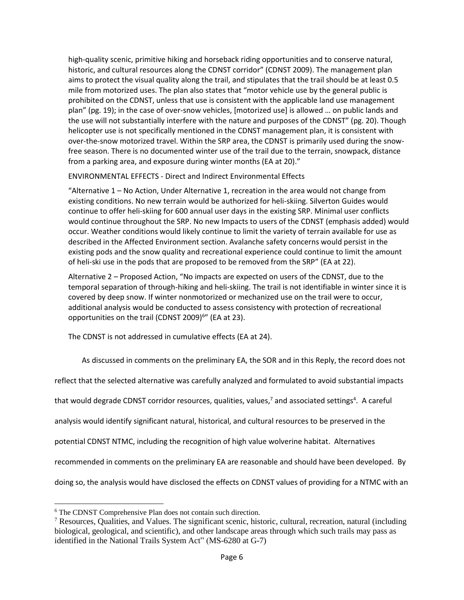high-quality scenic, primitive hiking and horseback riding opportunities and to conserve natural, historic, and cultural resources along the CDNST corridor" (CDNST 2009). The management plan aims to protect the visual quality along the trail, and stipulates that the trail should be at least 0.5 mile from motorized uses. The plan also states that "motor vehicle use by the general public is prohibited on the CDNST, unless that use is consistent with the applicable land use management plan" (pg. 19); in the case of over-snow vehicles, [motorized use] is allowed … on public lands and the use will not substantially interfere with the nature and purposes of the CDNST" (pg. 20). Though helicopter use is not specifically mentioned in the CDNST management plan, it is consistent with over-the-snow motorized travel. Within the SRP area, the CDNST is primarily used during the snowfree season. There is no documented winter use of the trail due to the terrain, snowpack, distance from a parking area, and exposure during winter months (EA at 20)."

ENVIRONMENTAL EFFECTS - Direct and Indirect Environmental Effects

"Alternative 1 – No Action, Under Alternative 1, recreation in the area would not change from existing conditions. No new terrain would be authorized for heli-skiing. Silverton Guides would continue to offer heli-skiing for 600 annual user days in the existing SRP. Minimal user conflicts would continue throughout the SRP. No new Impacts to users of the CDNST (emphasis added) would occur. Weather conditions would likely continue to limit the variety of terrain available for use as described in the Affected Environment section. Avalanche safety concerns would persist in the existing pods and the snow quality and recreational experience could continue to limit the amount of heli-ski use in the pods that are proposed to be removed from the SRP" (EA at 22).

Alternative 2 – Proposed Action, "No impacts are expected on users of the CDNST, due to the temporal separation of through-hiking and heli-skiing. The trail is not identifiable in winter since it is covered by deep snow. If winter nonmotorized or mechanized use on the trail were to occur, additional analysis would be conducted to assess consistency with protection of recreational opportunities on the trail (CDNST 2009)<sup>6</sup>" (EA at 23).

The CDNST is not addressed in cumulative effects (EA at 24).

As discussed in comments on the preliminary EA, the SOR and in this Reply, the record does not

reflect that the selected alternative was carefully analyzed and formulated to avoid substantial impacts

that would degrade CDNST corridor re[s](#page-1-0)ources, qualities, values,<sup>7</sup> and associated settings<sup>4</sup>. A careful

analysis would identify significant natural, historical, and cultural resources to be preserved in the

potential CDNST NTMC, including the recognition of high value wolverine habitat. Alternatives

recommended in comments on the preliminary EA are reasonable and should have been developed. By

doing so, the analysis would have disclosed the effects on CDNST values of providing for a NTMC with an

 $\overline{a}$ 

<sup>6</sup> The CDNST Comprehensive Plan does not contain such direction.

<sup>7</sup> Resources, Qualities, and Values. The significant scenic, historic, cultural, recreation, natural (including biological, geological, and scientific), and other landscape areas through which such trails may pass as identified in the National Trails System Act" (MS-6280 at G-7)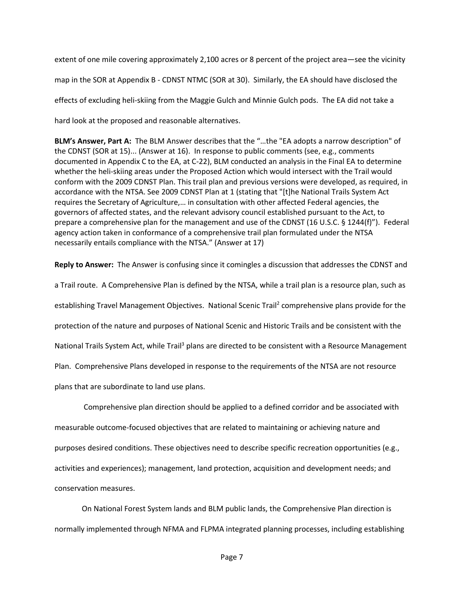extent of one mile covering approximately 2,100 acres or 8 percent of the project area—see the vicinity map in the SOR at Appendix B - CDNST NTMC (SOR at 30). Similarly, the EA should have disclosed the effects of excluding heli-skiing from the Maggie Gulch and Minnie Gulch pods. The EA did not take a hard look at the proposed and reasonable alternatives.

**BLM's Answer, Part A:** The BLM Answer describes that the "…the "EA adopts a narrow description" of the CDNST (SOR at 15)... (Answer at 16). In response to public comments (see, e.g., comments documented in Appendix C to the EA, at C-22), BLM conducted an analysis in the Final EA to determine whether the heli-skiing areas under the Proposed Action which would intersect with the Trail would conform with the 2009 CDNST Plan. This trail plan and previous versions were developed, as required, in accordance with the NTSA. See 2009 CDNST Plan at 1 (stating that "[t]he National Trails System Act requires the Secretary of Agriculture,… in consultation with other affected Federal agencies, the governors of affected states, and the relevant advisory council established pursuant to the Act, to prepare a comprehensive plan for the management and use of the CDNST (16 U.S.C. § 1244(f)"). Federal agency action taken in conformance of a comprehensive trail plan formulated under the NTSA necessarily entails compliance with the NTSA." (Answer at 17)

**Reply to Answer:** The Answer is confusing since it comingles a discussion that addresses the CDNST and a Trail route. A Comprehensive Plan is defined by the NTSA, while a trail plan is a resource plan, such as estab[l](#page-1-1)ishing Travel Management Objectives. National Scenic Trail<sup>2</sup> comprehensive plans provide for the protection of the nature and purposes of National Scenic and Historic Trails and be consistent with the National Tra[il](#page-1-2)s System Act, while Trail<sup>3</sup> plans are directed to be consistent with a Resource Management Plan. Comprehensive Plans developed in response to the requirements of the NTSA are not resource plans that are subordinate to land use plans.

Comprehensive plan direction should be applied to a defined corridor and be associated with measurable outcome-focused objectives that are related to maintaining or achieving nature and purposes desired conditions. These objectives need to describe specific recreation opportunities (e.g., activities and experiences); management, land protection, acquisition and development needs; and conservation measures.

On National Forest System lands and BLM public lands, the Comprehensive Plan direction is normally implemented through NFMA and FLPMA integrated planning processes, including establishing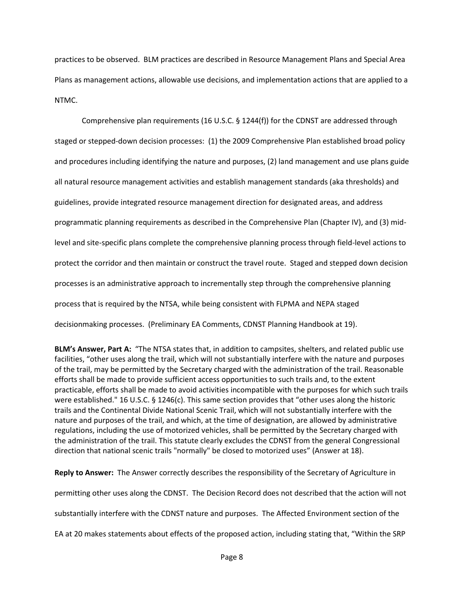practices to be observed. BLM practices are described in Resource Management Plans and Special Area Plans as management actions, allowable use decisions, and implementation actions that are applied to a NTMC.

Comprehensive plan requirements (16 U.S.C. § 1244(f)) for the CDNST are addressed through staged or stepped-down decision processes: (1) the 2009 Comprehensive Plan established broad policy and procedures including identifying the nature and purposes, (2) land management and use plans guide all natural resource management activities and establish management standards (aka thresholds) and guidelines, provide integrated resource management direction for designated areas, and address programmatic planning requirements as described in the Comprehensive Plan (Chapter IV), and (3) midlevel and site-specific plans complete the comprehensive planning process through field-level actions to protect the corridor and then maintain or construct the travel route. Staged and stepped down decision processes is an administrative approach to incrementally step through the comprehensive planning process that is required by the NTSA, while being consistent with FLPMA and NEPA staged decisionmaking processes. (Preliminary EA Comments, CDNST Planning Handbook at 19).

**BLM's Answer, Part A:** "The NTSA states that, in addition to campsites, shelters, and related public use facilities, "other uses along the trail, which will not substantially interfere with the nature and purposes of the trail, may be permitted by the Secretary charged with the administration of the trail. Reasonable efforts shall be made to provide sufficient access opportunities to such trails and, to the extent practicable, efforts shall be made to avoid activities incompatible with the purposes for which such trails were established." 16 U.S.C. § 1246(c). This same section provides that "other uses along the historic trails and the Continental Divide National Scenic Trail, which will not substantially interfere with the nature and purposes of the trail, and which, at the time of designation, are allowed by administrative regulations, including the use of motorized vehicles, shall be permitted by the Secretary charged with the administration of the trail. This statute clearly excludes the CDNST from the general Congressional direction that national scenic trails "normally" be closed to motorized uses" (Answer at 18).

**Reply to Answer:** The Answer correctly describes the responsibility of the Secretary of Agriculture in permitting other uses along the CDNST. The Decision Record does not described that the action will not substantially interfere with the CDNST nature and purposes. The Affected Environment section of the EA at 20 makes statements about effects of the proposed action, including stating that, "Within the SRP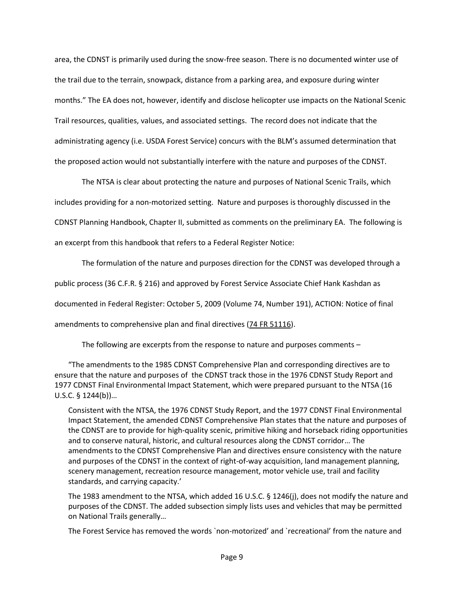area, the CDNST is primarily used during the snow-free season. There is no documented winter use of the trail due to the terrain, snowpack, distance from a parking area, and exposure during winter months." The EA does not, however, identify and disclose helicopter use impacts on the National Scenic Trail resources, qualities, values, and associated settings. The record does not indicate that the administrating agency (i.e. USDA Forest Service) concurs with the BLM's assumed determination that the proposed action would not substantially interfere with the nature and purposes of the CDNST.

The NTSA is clear about protecting the nature and purposes of National Scenic Trails, which includes providing for a non-motorized setting. Nature and purposes is thoroughly discussed in the CDNST Planning Handbook, Chapter II, submitted as comments on the preliminary EA. The following is an excerpt from this handbook that refers to a Federal Register Notice:

The formulation of the nature and purposes direction for the CDNST was developed through a public process (36 C.F.R. § 216) and approved by Forest Service Associate Chief Hank Kashdan as documented in Federal Register: October 5, 2009 (Volume 74, Number 191), ACTION: Notice of final amendments to comprehensive plan and final directives [\(74 FR 51116\)](http://www.nstrail.org/main/fr_74_191_E9_23873_100509.pdf).

The following are excerpts from the response to nature and purposes comments –

"The amendments to the 1985 CDNST Comprehensive Plan and corresponding directives are to ensure that the nature and purposes of the CDNST track those in the 1976 CDNST Study Report and 1977 CDNST Final Environmental Impact Statement, which were prepared pursuant to the NTSA (16 U.S.C. § 1244(b))…

Consistent with the NTSA, the 1976 CDNST Study Report, and the 1977 CDNST Final Environmental Impact Statement, the amended CDNST Comprehensive Plan states that the nature and purposes of the CDNST are to provide for high-quality scenic, primitive hiking and horseback riding opportunities and to conserve natural, historic, and cultural resources along the CDNST corridor… The amendments to the CDNST Comprehensive Plan and directives ensure consistency with the nature and purposes of the CDNST in the context of right-of-way acquisition, land management planning, scenery management, recreation resource management, motor vehicle use, trail and facility standards, and carrying capacity.'

The 1983 amendment to the NTSA, which added 16 U.S.C. § 1246(j), does not modify the nature and purposes of the CDNST. The added subsection simply lists uses and vehicles that may be permitted on National Trails generally…

The Forest Service has removed the words `non-motorized' and `recreational' from the nature and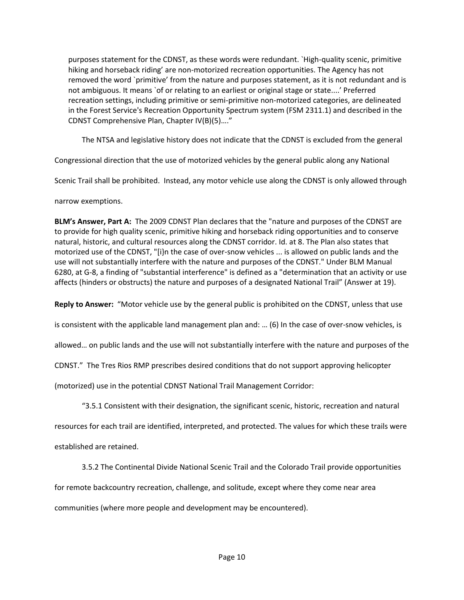purposes statement for the CDNST, as these words were redundant. `High-quality scenic, primitive hiking and horseback riding' are non-motorized recreation opportunities. The Agency has not removed the word `primitive' from the nature and purposes statement, as it is not redundant and is not ambiguous. It means `of or relating to an earliest or original stage or state....' Preferred recreation settings, including primitive or semi-primitive non-motorized categories, are delineated in the Forest Service's Recreation Opportunity Spectrum system (FSM 2311.1) and described in the CDNST Comprehensive Plan, Chapter IV(B)(5)…."

The NTSA and legislative history does not indicate that the CDNST is excluded from the general

Congressional direction that the use of motorized vehicles by the general public along any National

Scenic Trail shall be prohibited. Instead, any motor vehicle use along the CDNST is only allowed through

narrow exemptions.

**BLM's Answer, Part A:** The 2009 CDNST Plan declares that the "nature and purposes of the CDNST are to provide for high quality scenic, primitive hiking and horseback riding opportunities and to conserve natural, historic, and cultural resources along the CDNST corridor. Id. at 8. The Plan also states that motorized use of the CDNST, "[i}n the case of over-snow vehicles ... is allowed on public lands and the use will not substantially interfere with the nature and purposes of the CDNST." Under BLM Manual 6280, at G-8, a finding of "substantial interference" is defined as a "determination that an activity or use affects (hinders or obstructs) the nature and purposes of a designated National Trail" (Answer at 19).

**Reply to Answer:** "Motor vehicle use by the general public is prohibited on the CDNST, unless that use

is consistent with the applicable land management plan and: … (6) In the case of over-snow vehicles, is

allowed… on public lands and the use will not substantially interfere with the nature and purposes of the

CDNST." The Tres Rios RMP prescribes desired conditions that do not support approving helicopter

(motorized) use in the potential CDNST National Trail Management Corridor:

"3.5.1 Consistent with their designation, the significant scenic, historic, recreation and natural

resources for each trail are identified, interpreted, and protected. The values for which these trails were

established are retained.

3.5.2 The Continental Divide National Scenic Trail and the Colorado Trail provide opportunities

for remote backcountry recreation, challenge, and solitude, except where they come near area

communities (where more people and development may be encountered).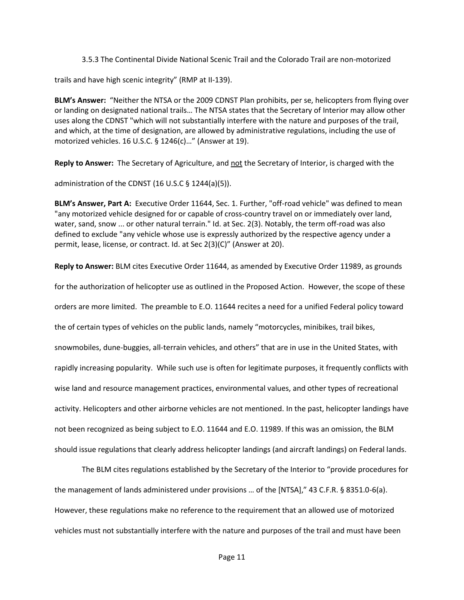3.5.3 The Continental Divide National Scenic Trail and the Colorado Trail are non-motorized

trails and have high scenic integrity" (RMP at II-139).

**BLM's Answer:** "Neither the NTSA or the 2009 CDNST Plan prohibits, per se, helicopters from flying over or landing on designated national trails… The NTSA states that the Secretary of Interior may allow other uses along the CDNST "which will not substantially interfere with the nature and purposes of the trail, and which, at the time of designation, are allowed by administrative regulations, including the use of motorized vehicles. 16 U.S.C. § 1246(c)…" (Answer at 19).

**Reply to Answer:** The Secretary of Agriculture, and not the Secretary of Interior, is charged with the

administration of the CDNST (16 U.S.C § 1244(a)(5)).

**BLM's Answer, Part A:** Executive Order 11644, Sec. 1. Further, "off-road vehicle" was defined to mean "any motorized vehicle designed for or capable of cross-country travel on or immediately over land, water, sand, snow ... or other natural terrain." Id. at Sec. 2(3). Notably, the term off-road was also defined to exclude "any vehicle whose use is expressly authorized by the respective agency under a permit, lease, license, or contract. Id. at Sec 2(3)(C)" (Answer at 20).

**Reply to Answer:** BLM cites Executive Order 11644, as amended by Executive Order 11989, as grounds

for the authorization of helicopter use as outlined in the Proposed Action. However, the scope of these

orders are more limited. The preamble to E.O. 11644 recites a need for a unified Federal policy toward

the of certain types of vehicles on the public lands, namely "motorcycles, minibikes, trail bikes,

snowmobiles, dune-buggies, all-terrain vehicles, and others" that are in use in the United States, with

rapidly increasing popularity. While such use is often for legitimate purposes, it frequently conflicts with

wise land and resource management practices, environmental values, and other types of recreational

activity. Helicopters and other airborne vehicles are not mentioned. In the past, helicopter landings have

not been recognized as being subject to E.O. 11644 and E.O. 11989. If this was an omission, the BLM

should issue regulations that clearly address helicopter landings (and aircraft landings) on Federal lands.

The BLM cites regulations established by the Secretary of the Interior to "provide procedures for the management of lands administered under provisions … of the [NTSA]," 43 C.F.R. § 8351.0-6(a). However, these regulations make no reference to the requirement that an allowed use of motorized vehicles must not substantially interfere with the nature and purposes of the trail and must have been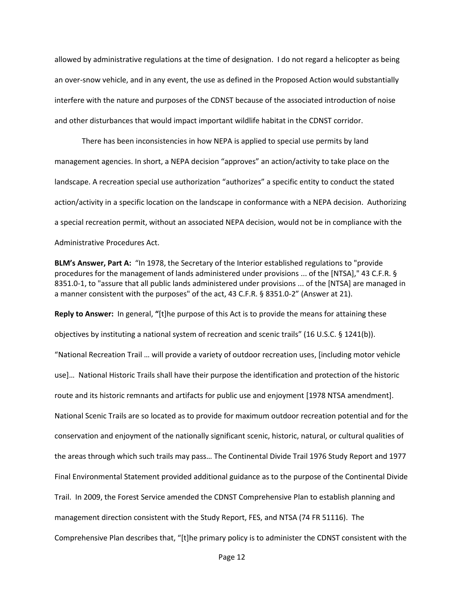allowed by administrative regulations at the time of designation. I do not regard a helicopter as being an over-snow vehicle, and in any event, the use as defined in the Proposed Action would substantially interfere with the nature and purposes of the CDNST because of the associated introduction of noise and other disturbances that would impact important wildlife habitat in the CDNST corridor.

There has been inconsistencies in how NEPA is applied to special use permits by land management agencies. In short, a NEPA decision "approves" an action/activity to take place on the landscape. A recreation special use authorization "authorizes" a specific entity to conduct the stated action/activity in a specific location on the landscape in conformance with a NEPA decision. Authorizing a special recreation permit, without an associated NEPA decision, would not be in compliance with the Administrative Procedures Act.

**BLM's Answer, Part A:** "In 1978, the Secretary of the Interior established regulations to "provide procedures for the management of lands administered under provisions ... of the [NTSA]," 43 C.F.R. § 8351.0-1, to "assure that all public lands administered under provisions ... of the [NTSA] are managed in a manner consistent with the purposes" of the act, 43 C.F.R. § 8351.0-2" (Answer at 21).

**Reply to Answer:** In general, **"**[t]he purpose of this Act is to provide the means for attaining these objectives by instituting a national system of recreation and scenic trails" (16 U.S.C. § 1241(b)). "National Recreation Trail … will provide a variety of outdoor recreation uses, [including motor vehicle use]… National Historic Trails shall have their purpose the identification and protection of the historic route and its historic remnants and artifacts for public use and enjoyment [1978 NTSA amendment]. National Scenic Trails are so located as to provide for maximum outdoor recreation potential and for the conservation and enjoyment of the nationally significant scenic, historic, natural, or cultural qualities of the areas through which such trails may pass… The Continental Divide Trail 1976 Study Report and 1977 Final Environmental Statement provided additional guidance as to the purpose of the Continental Divide Trail. In 2009, the Forest Service amended the CDNST Comprehensive Plan to establish planning and management direction consistent with the Study Report, FES, and NTSA (74 FR 51116). The Comprehensive Plan describes that, "[t]he primary policy is to administer the CDNST consistent with the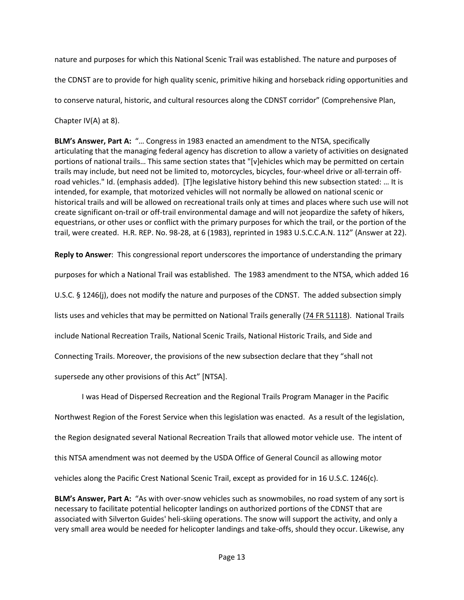nature and purposes for which this National Scenic Trail was established. The nature and purposes of the CDNST are to provide for high quality scenic, primitive hiking and horseback riding opportunities and to conserve natural, historic, and cultural resources along the CDNST corridor" (Comprehensive Plan,

Chapter IV(A) at 8).

**BLM's Answer, Part A:** "… Congress in 1983 enacted an amendment to the NTSA, specifically articulating that the managing federal agency has discretion to allow a variety of activities on designated portions of national trails… This same section states that "[v]ehicles which may be permitted on certain trails may include, but need not be limited to, motorcycles, bicycles, four-wheel drive or all-terrain offroad vehicles." Id. (emphasis added). [T]he legislative history behind this new subsection stated: … It is intended, for example, that motorized vehicles will not normally be allowed on national scenic or historical trails and will be allowed on recreational trails only at times and places where such use will not create significant on-trail or off-trail environmental damage and will not jeopardize the safety of hikers, equestrians, or other uses or conflict with the primary purposes for which the trail, or the portion of the trail, were created. H.R. REP. No. 98-28, at 6 (1983), reprinted in 1983 U.S.C.C.A.N. 112" (Answer at 22).

**Reply to Answer**: This congressional report underscores the importance of understanding the primary

purposes for which a National Trail was established. The 1983 amendment to the NTSA, which added 16

U.S.C. § 1246(j), does not modify the nature and purposes of the CDNST. The added subsection simply

lists uses and vehicles that may be permitted on National Trails generally (74 FR 51118). National Trails

include National Recreation Trails, National Scenic Trails, National Historic Trails, and Side and

Connecting Trails. Moreover, the provisions of the new subsection declare that they "shall not

supersede any other provisions of this Act" [NTSA].

I was Head of Dispersed Recreation and the Regional Trails Program Manager in the Pacific Northwest Region of the Forest Service when this legislation was enacted. As a result of the legislation, the Region designated several National Recreation Trails that allowed motor vehicle use. The intent of this NTSA amendment was not deemed by the USDA Office of General Council as allowing motor vehicles along the Pacific Crest National Scenic Trail, except as provided for in 16 U.S.C. 1246(c).

**BLM's Answer, Part A:** "As with over-snow vehicles such as snowmobiles, no road system of any sort is necessary to facilitate potential helicopter landings on authorized portions of the CDNST that are associated with Silverton Guides' heli-skiing operations. The snow will support the activity, and only a very small area would be needed for helicopter landings and take-offs, should they occur. Likewise, any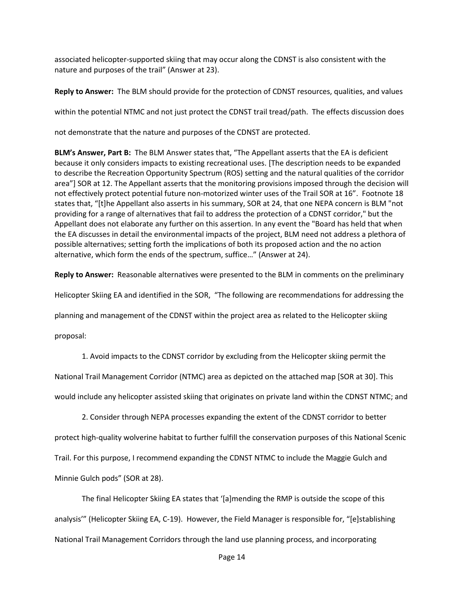associated helicopter-supported skiing that may occur along the CDNST is also consistent with the nature and purposes of the trail" (Answer at 23).

**Reply to Answer:** The BLM should provide for the protection of CDNST resources, qualities, and values

within the potential NTMC and not just protect the CDNST trail tread/path. The effects discussion does

not demonstrate that the nature and purposes of the CDNST are protected.

**BLM's Answer, Part B:** The BLM Answer states that, "The Appellant asserts that the EA is deficient because it only considers impacts to existing recreational uses. [The description needs to be expanded to describe the Recreation Opportunity Spectrum (ROS) setting and the natural qualities of the corridor area"] SOR at 12. The Appellant asserts that the monitoring provisions imposed through the decision will not effectively protect potential future non-motorized winter uses of the Trail SOR at 16". Footnote 18 states that, "[t]he Appellant also asserts in his summary, SOR at 24, that one NEPA concern is BLM "not providing for a range of alternatives that fail to address the protection of a CDNST corridor," but the Appellant does not elaborate any further on this assertion. In any event the "Board has held that when the EA discusses in detail the environmental impacts of the project, BLM need not address a plethora of possible alternatives; setting forth the implications of both its proposed action and the no action alternative, which form the ends of the spectrum, suffice…" (Answer at 24).

**Reply to Answer:** Reasonable alternatives were presented to the BLM in comments on the preliminary

Helicopter Skiing EA and identified in the SOR, "The following are recommendations for addressing the

planning and management of the CDNST within the project area as related to the Helicopter skiing

proposal:

1. Avoid impacts to the CDNST corridor by excluding from the Helicopter skiing permit the National Trail Management Corridor (NTMC) area as depicted on the attached map [SOR at 30]. This would include any helicopter assisted skiing that originates on private land within the CDNST NTMC; and

2. Consider through NEPA processes expanding the extent of the CDNST corridor to better protect high‐quality wolverine habitat to further fulfill the conservation purposes of this National Scenic Trail. For this purpose, I recommend expanding the CDNST NTMC to include the Maggie Gulch and Minnie Gulch pods" (SOR at 28).

The final Helicopter Skiing EA states that '[a]mending the RMP is outside the scope of this analysis'" (Helicopter Skiing EA, C‐19). However, the Field Manager is responsible for, "[e]stablishing National Trail Management Corridors through the land use planning process, and incorporating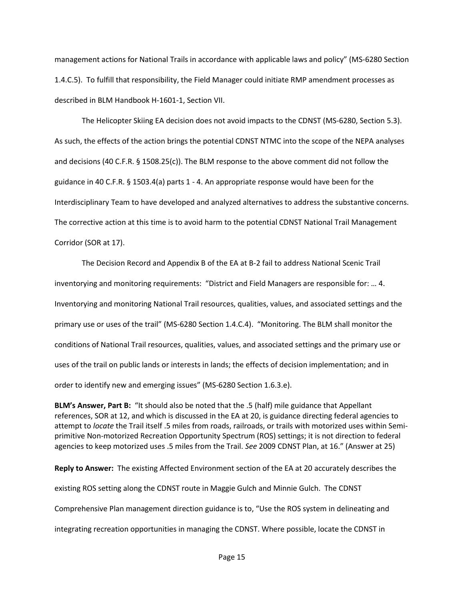management actions for National Trails in accordance with applicable laws and policy" (MS-6280 Section 1.4.C.5). To fulfill that responsibility, the Field Manager could initiate RMP amendment processes as described in BLM Handbook H-1601-1, Section VII.

The Helicopter Skiing EA decision does not avoid impacts to the CDNST (MS‐6280, Section 5.3). As such, the effects of the action brings the potential CDNST NTMC into the scope of the NEPA analyses and decisions (40 C.F.R. § 1508.25(c)). The BLM response to the above comment did not follow the guidance in 40 C.F.R. § 1503.4(a) parts 1 - 4. An appropriate response would have been for the Interdisciplinary Team to have developed and analyzed alternatives to address the substantive concerns. The corrective action at this time is to avoid harm to the potential CDNST National Trail Management Corridor (SOR at 17).

The Decision Record and Appendix B of the EA at B-2 fail to address National Scenic Trail inventorying and monitoring requirements: "District and Field Managers are responsible for: … 4. Inventorying and monitoring National Trail resources, qualities, values, and associated settings and the primary use or uses of the trail" (MS-6280 Section 1.4.C.4). "Monitoring. The BLM shall monitor the conditions of National Trail resources, qualities, values, and associated settings and the primary use or uses of the trail on public lands or interests in lands; the effects of decision implementation; and in order to identify new and emerging issues" (MS-6280 Section 1.6.3.e).

**BLM's Answer, Part B:** "It should also be noted that the .5 (half) mile guidance that Appellant references, SOR at 12, and which is discussed in the EA at 20, is guidance directing federal agencies to attempt to *locate* the Trail itself .5 miles from roads, railroads, or trails with motorized uses within Semiprimitive Non-motorized Recreation Opportunity Spectrum (ROS) settings; it is not direction to federal agencies to keep motorized uses .5 miles from the Trail. *See* 2009 CDNST Plan, at 16." (Answer at 25)

**Reply to Answer:** The existing Affected Environment section of the EA at 20 accurately describes the existing ROS setting along the CDNST route in Maggie Gulch and Minnie Gulch. The CDNST Comprehensive Plan management direction guidance is to, "Use the ROS system in delineating and integrating recreation opportunities in managing the CDNST. Where possible, locate the CDNST in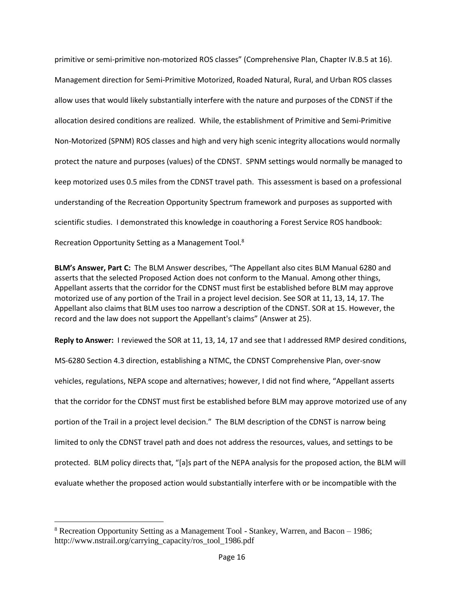primitive or semi-primitive non-motorized ROS classes" (Comprehensive Plan, Chapter IV.B.5 at 16). Management direction for Semi-Primitive Motorized, Roaded Natural, Rural, and Urban ROS classes allow uses that would likely substantially interfere with the nature and purposes of the CDNST if the allocation desired conditions are realized. While, the establishment of Primitive and Semi-Primitive Non-Motorized (SPNM) ROS classes and high and very high scenic integrity allocations would normally protect the nature and purposes (values) of the CDNST. SPNM settings would normally be managed to keep motorized uses 0.5 miles from the CDNST travel path. This assessment is based on a professional understanding of the Recreation Opportunity Spectrum framework and purposes as supported with scientific studies. I demonstrated this knowledge in coauthoring a Forest Service ROS handbook: Recreation Opportunity Setting as a Management Tool.<sup>8</sup>

**BLM's Answer, Part C:** The BLM Answer describes, "The Appellant also cites BLM Manual 6280 and asserts that the selected Proposed Action does not conform to the Manual. Among other things, Appellant asserts that the corridor for the CDNST must first be established before BLM may approve motorized use of any portion of the Trail in a project level decision. See SOR at 11, 13, 14, 17. The Appellant also claims that BLM uses too narrow a description of the CDNST. SOR at 15. However, the record and the law does not support the Appellant's claims" (Answer at 25).

**Reply to Answer:** I reviewed the SOR at 11, 13, 14, 17 and see that I addressed RMP desired conditions,

MS-6280 Section 4.3 direction, establishing a NTMC, the CDNST Comprehensive Plan, over-snow vehicles, regulations, NEPA scope and alternatives; however, I did not find where, "Appellant asserts that the corridor for the CDNST must first be established before BLM may approve motorized use of any portion of the Trail in a project level decision." The BLM description of the CDNST is narrow being limited to only the CDNST travel path and does not address the resources, values, and settings to be protected. BLM policy directs that, "[a]s part of the NEPA analysis for the proposed action, the BLM will evaluate whether the proposed action would substantially interfere with or be incompatible with the

 $\overline{a}$ 

<sup>8</sup> Recreation Opportunity Setting as a Management Tool - Stankey, Warren, and Bacon – 1986; http://www.nstrail.org/carrying\_capacity/ros\_tool\_1986.pdf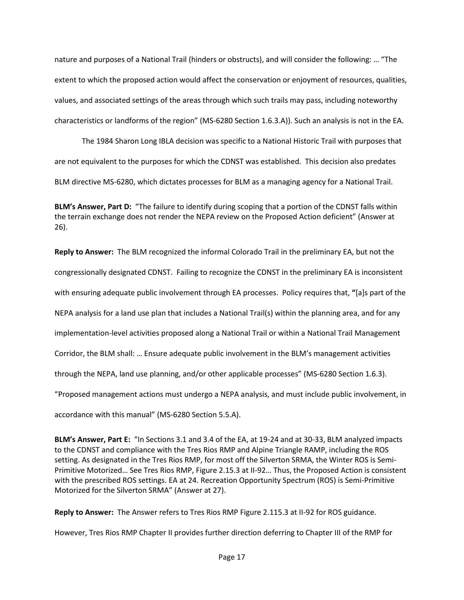nature and purposes of a National Trail (hinders or obstructs), and will consider the following: … "The extent to which the proposed action would affect the conservation or enjoyment of resources, qualities, values, and associated settings of the areas through which such trails may pass, including noteworthy characteristics or landforms of the region" (MS-6280 Section 1.6.3.A)). Such an analysis is not in the EA.

The 1984 Sharon Long IBLA decision was specific to a National Historic Trail with purposes that are not equivalent to the purposes for which the CDNST was established. This decision also predates BLM directive MS-6280, which dictates processes for BLM as a managing agency for a National Trail.

**BLM's Answer, Part D:** "The failure to identify during scoping that a portion of the CDNST falls within the terrain exchange does not render the NEPA review on the Proposed Action deficient" (Answer at 26).

**Reply to Answer:** The BLM recognized the informal Colorado Trail in the preliminary EA, but not the congressionally designated CDNST. Failing to recognize the CDNST in the preliminary EA is inconsistent with ensuring adequate public involvement through EA processes. Policy requires that, **"**[a]s part of the NEPA analysis for a land use plan that includes a National Trail(s) within the planning area, and for any implementation-level activities proposed along a National Trail or within a National Trail Management Corridor, the BLM shall: … Ensure adequate public involvement in the BLM's management activities through the NEPA, land use planning, and/or other applicable processes" (MS-6280 Section 1.6.3). "Proposed management actions must undergo a NEPA analysis, and must include public involvement, in accordance with this manual" (MS-6280 Section 5.5.A).

**BLM's Answer, Part E:** "In Sections 3.1 and 3.4 of the EA, at 19-24 and at 30-33, BLM analyzed impacts to the CDNST and compliance with the Tres Rios RMP and Alpine Triangle RAMP, including the ROS setting. As designated in the Tres Rios RMP, for most off the Silverton SRMA, the Winter ROS is Semi-Primitive Motorized… See Tres Rios RMP, Figure 2.15.3 at II-92… Thus, the Proposed Action is consistent with the prescribed ROS settings. EA at 24. Recreation Opportunity Spectrum (ROS) is Semi-Primitive Motorized for the Silverton SRMA" (Answer at 27).

**Reply to Answer:** The Answer refers to Tres Rios RMP Figure 2.115.3 at II-92 for ROS guidance.

However, Tres Rios RMP Chapter II provides further direction deferring to Chapter III of the RMP for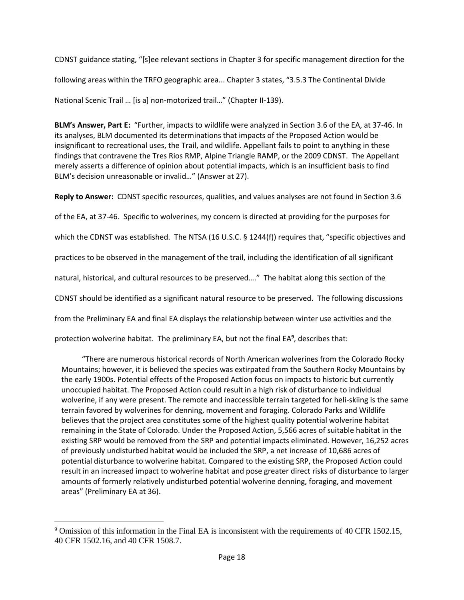CDNST guidance stating, "[s]ee relevant sections in Chapter 3 for specific management direction for the following areas within the TRFO geographic area... Chapter 3 states, "3.5.3 The Continental Divide National Scenic Trail … [is a] non-motorized trail…" (Chapter II-139).

**BLM's Answer, Part E:** "Further, impacts to wildlife were analyzed in Section 3.6 of the EA, at 37-46. In its analyses, BLM documented its determinations that impacts of the Proposed Action would be insignificant to recreational uses, the Trail, and wildlife. Appellant fails to point to anything in these findings that contravene the Tres Rios RMP, Alpine Triangle RAMP, or the 2009 CDNST. The Appellant merely asserts a difference of opinion about potential impacts, which is an insufficient basis to find BLM's decision unreasonable or invalid…" (Answer at 27).

**Reply to Answer:** CDNST specific resources, qualities, and values analyses are not found in Section 3.6 of the EA, at 37-46. Specific to wolverines, my concern is directed at providing for the purposes for which the CDNST was established. The NTSA (16 U.S.C. § 1244(f)) requires that, "specific objectives and practices to be observed in the management of the trail, including the identification of all significant natural, historical, and cultural resources to be preserved…." The habitat along this section of the CDNST should be identified as a significant natural resource to be preserved. The following discussions from the Preliminary EA and final EA displays the relationship between winter use activities and the protection wolverine habitat. The preliminary EA, but not the final EA**<sup>9</sup>** , describes that:

"There are numerous historical records of North American wolverines from the Colorado Rocky Mountains; however, it is believed the species was extirpated from the Southern Rocky Mountains by the early 1900s. Potential effects of the Proposed Action focus on impacts to historic but currently unoccupied habitat. The Proposed Action could result in a high risk of disturbance to individual wolverine, if any were present. The remote and inaccessible terrain targeted for heli-skiing is the same terrain favored by wolverines for denning, movement and foraging. Colorado Parks and Wildlife believes that the project area constitutes some of the highest quality potential wolverine habitat remaining in the State of Colorado. Under the Proposed Action, 5,566 acres of suitable habitat in the existing SRP would be removed from the SRP and potential impacts eliminated. However, 16,252 acres of previously undisturbed habitat would be included the SRP, a net increase of 10,686 acres of potential disturbance to wolverine habitat. Compared to the existing SRP, the Proposed Action could result in an increased impact to wolverine habitat and pose greater direct risks of disturbance to larger amounts of formerly relatively undisturbed potential wolverine denning, foraging, and movement areas" (Preliminary EA at 36).

 $\overline{a}$ 

<sup>9</sup> Omission of this information in the Final EA is inconsistent with the requirements of 40 CFR 1502.15, 40 CFR 1502.16, and 40 CFR 1508.7.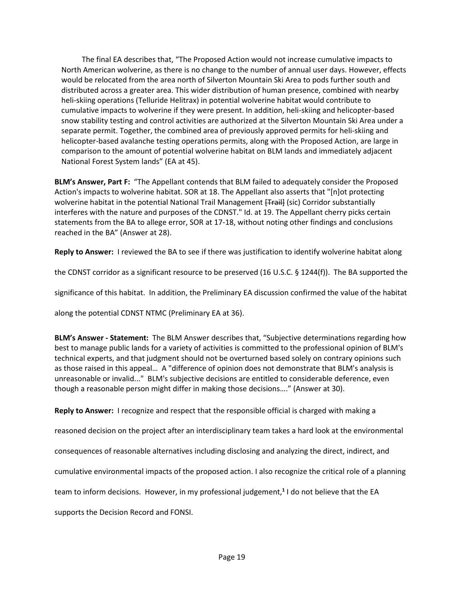The final EA describes that, "The Proposed Action would not increase cumulative impacts to North American wolverine, as there is no change to the number of annual user days. However, effects would be relocated from the area north of Silverton Mountain Ski Area to pods further south and distributed across a greater area. This wider distribution of human presence, combined with nearby heli-skiing operations (Telluride Helitrax) in potential wolverine habitat would contribute to cumulative impacts to wolverine if they were present. In addition, heli-skiing and helicopter-based snow stability testing and control activities are authorized at the Silverton Mountain Ski Area under a separate permit. Together, the combined area of previously approved permits for heli-skiing and helicopter-based avalanche testing operations permits, along with the Proposed Action, are large in comparison to the amount of potential wolverine habitat on BLM lands and immediately adjacent National Forest System lands" (EA at 45).

**BLM's Answer, Part F:** "The Appellant contends that BLM failed to adequately consider the Proposed Action's impacts to wolverine habitat. SOR at 18. The Appellant also asserts that "[n]ot protecting wolverine habitat in the potential National Trail Management [Trail] (sic) Corridor substantially interferes with the nature and purposes of the CDNST." Id. at 19. The Appellant cherry picks certain statements from the BA to allege error, SOR at 17-18, without noting other findings and conclusions reached in the BA" (Answer at 28).

**Reply to Answer:** I reviewed the BA to see if there was justification to identify wolverine habitat along

the CDNST corridor as a significant resource to be preserved (16 U.S.C. § 1244(f)). The BA supported the

significance of this habitat. In addition, the Preliminary EA discussion confirmed the value of the habitat

along the potential CDNST NTMC (Preliminary EA at 36).

**BLM's Answer - Statement:** The BLM Answer describes that, "Subjective determinations regarding how best to manage public lands for a variety of activities is committed to the professional opinion of BLM's technical experts, and that judgment should not be overturned based solely on contrary opinions such as those raised in this appeal… A "difference of opinion does not demonstrate that BLM's analysis is unreasonable or invalid..." BLM's subjective decisions are entitled to considerable deference, even though a reasonable person might differ in making those decisions…." (Answer at 30).

**Reply to Answer:** I recognize and respect that the responsible official is charged with making a

reasoned decision on the project after an interdisciplinary team takes a hard look at the environmental

consequences of reasonable alternatives including disclosing and analyzing the direct, indirect, and

cumulative environmental impacts of the proposed action. I also recognize the critical role of a planning

team to inform decisions. However, in my professional judgement[,](#page-1-3)**<sup>1</sup>** I do not believe that the EA

supports the Decision Record and FONSI.